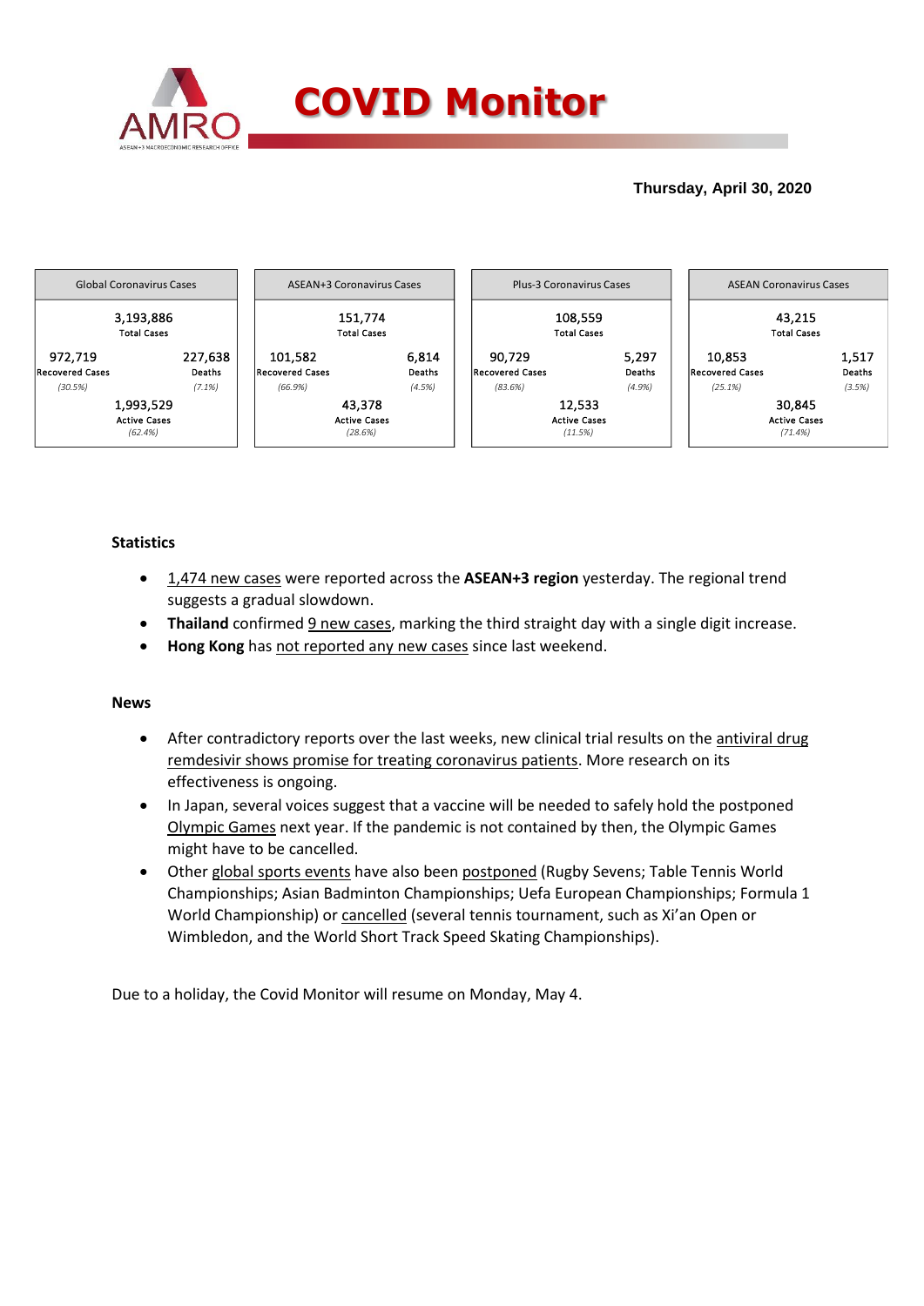

# **Thursday, April 30, 2020**



## **Statistics**

- 1,474 new cases were reported across the **ASEAN+3 region** yesterday. The regional trend suggests a gradual slowdown.
- **Thailand** confirmed 9 new cases, marking the third straight day with a single digit increase.
- **Hong Kong** has not reported any new cases since last weekend.

### **News**

- After contradictory reports over the last weeks, new clinical trial results on the antiviral drug remdesivir shows promise for treating coronavirus patients. More research on its effectiveness is ongoing.
- In Japan, several voices suggest that a vaccine will be needed to safely hold the postponed Olympic Games next year. If the pandemic is not contained by then, the Olympic Games might have to be cancelled.
- Other global sports events have also been postponed (Rugby Sevens; Table Tennis World Championships; Asian Badminton Championships; Uefa European Championships; Formula 1 World Championship) or cancelled (several tennis tournament, such as Xi'an Open or Wimbledon, and the World Short Track Speed Skating Championships).

Due to a holiday, the Covid Monitor will resume on Monday, May 4.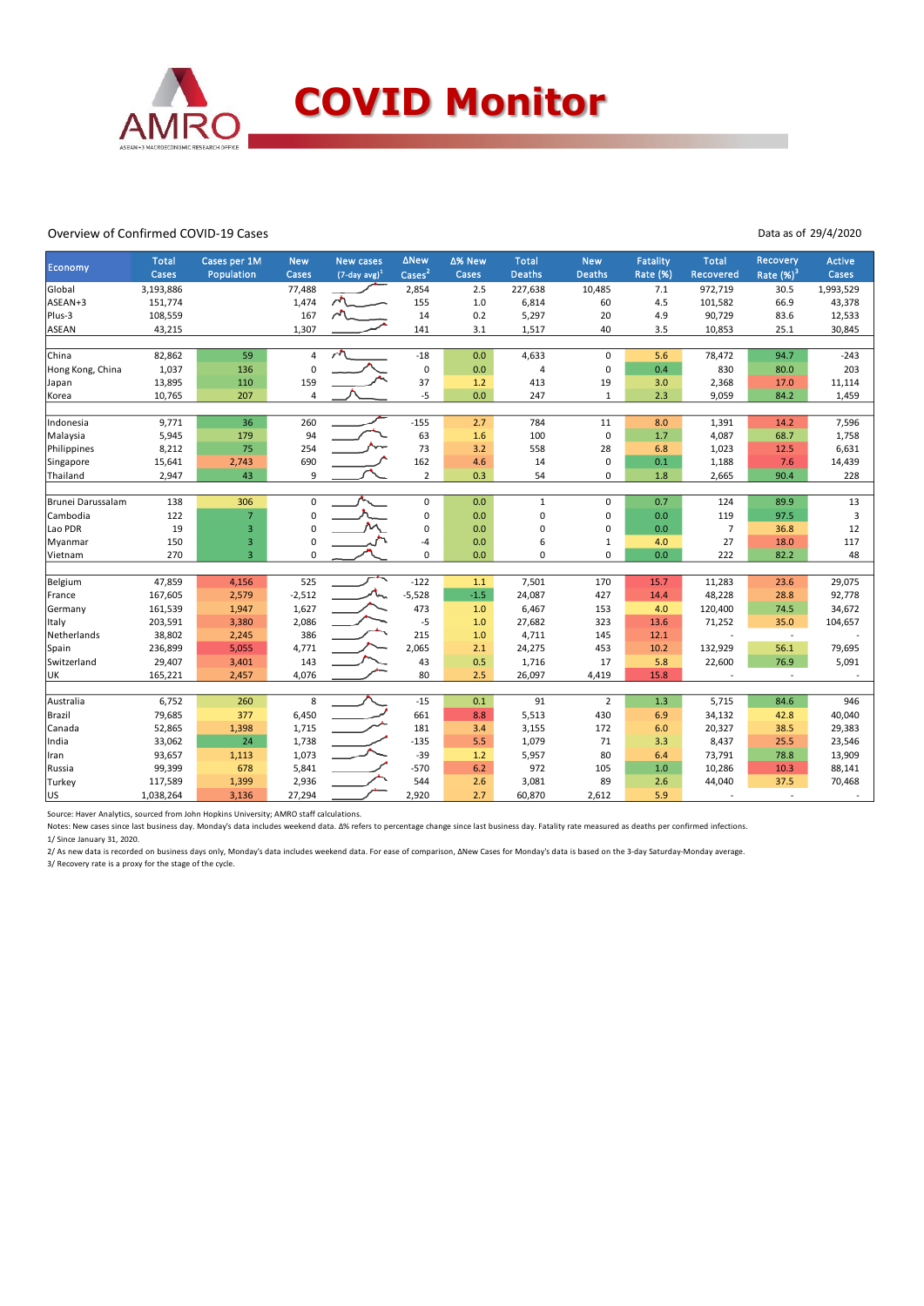

#### Overview of Confirmed COVID-19 Cases

Data as of 29/4/2020

| Economy           | <b>Total</b><br>Cases | Cases per 1M<br>Population | <b>New</b><br>Cases | <b>New cases</b><br>$(7$ -day avg $)^1$ | <b>ANew</b><br>$\text{Case}^2$ | ∆% New<br>Cases | <b>Total</b><br><b>Deaths</b> | <b>New</b><br><b>Deaths</b> | <b>Fatality</b><br>Rate (%) | <b>Total</b><br>Recovered | Recovery<br>Rate $(\%)^3$ | <b>Active</b><br>Cases |
|-------------------|-----------------------|----------------------------|---------------------|-----------------------------------------|--------------------------------|-----------------|-------------------------------|-----------------------------|-----------------------------|---------------------------|---------------------------|------------------------|
|                   | 3,193,886             |                            |                     |                                         |                                |                 | 227,638                       |                             |                             | 972,719                   |                           |                        |
| Global            |                       |                            | 77,488              | $\lambda$                               | 2,854                          | 2.5             |                               | 10,485                      | 7.1                         |                           | 30.5                      | 1,993,529              |
| ASEAN+3           | 151,774               |                            | 1,474               |                                         | 155                            | 1.0             | 6,814                         | 60                          | 4.5                         | 101,582                   | 66.9                      | 43,378                 |
| Plus-3            | 108,559               |                            | 167                 |                                         | 14                             | 0.2             | 5,297                         | 20                          | 4.9                         | 90,729                    | 83.6                      | 12,533                 |
| ASEAN             | 43,215                |                            | 1,307               |                                         | 141                            | 3.1             | 1,517                         | 40                          | 3.5                         | 10,853                    | 25.1                      | 30,845                 |
| China             | 82,862                | 59                         | 4                   |                                         | $-18$                          | 0.0             | 4,633                         | $\mathbf 0$                 | 5.6                         | 78,472                    | 94.7                      | $-243$                 |
| Hong Kong, China  | 1,037                 | 136                        | $\mathbf 0$         |                                         | $\pmb{0}$                      | 0.0             | $\overline{4}$                | $\mathbf 0$                 | 0.4                         | 830                       | 80.0                      | 203                    |
|                   | 13,895                | 110                        | 159                 |                                         | 37                             | 1.2             | 413                           | 19                          | 3.0                         | 2,368                     | 17.0                      | 11,114                 |
| Japan             | 10,765                |                            |                     |                                         |                                | 0.0             | 247                           |                             |                             |                           |                           |                        |
| Korea             |                       | 207                        | $\overline{4}$      |                                         | $-5$                           |                 |                               | 1                           | 2.3                         | 9,059                     | 84.2                      | 1,459                  |
| Indonesia         | 9,771                 | 36                         | 260                 |                                         | $-155$                         | 2.7             | 784                           | 11                          | 8.0                         | 1,391                     | 14.2                      | 7,596                  |
| Malaysia          | 5,945                 | 179                        | 94                  |                                         | 63                             | 1.6             | 100                           | $\mathbf 0$                 | 1.7                         | 4,087                     | 68.7                      | 1,758                  |
| Philippines       | 8,212                 | 75                         | 254                 |                                         | 73                             | 3.2             | 558                           | 28                          | 6.8                         | 1,023                     | 12.5                      | 6,631                  |
| Singapore         | 15,641                | 2,743                      | 690                 |                                         | 162                            | 4.6             | 14                            | $\mathbf 0$                 | 0.1                         | 1,188                     | 7.6                       | 14,439                 |
| Thailand          | 2,947                 | 43                         | 9                   |                                         | $\overline{2}$                 | 0.3             | 54                            | $\mathbf 0$                 | 1.8                         | 2,665                     | 90.4                      | 228                    |
|                   |                       |                            |                     |                                         |                                |                 |                               |                             |                             |                           |                           |                        |
| Brunei Darussalam | 138                   | 306                        | 0                   |                                         | 0                              | 0.0             | $\mathbf{1}$                  | $\mathbf 0$                 | 0.7                         | 124                       | 89.9                      | 13                     |
| Cambodia          | 122                   | $\overline{7}$             | $\mathbf 0$         |                                         | $\mathbf 0$                    | 0.0             | 0                             | $\mathbf 0$                 | 0.0                         | 119                       | 97.5                      | 3                      |
| Lao PDR           | 19                    | 3                          | $\Omega$            |                                         | $\pmb{0}$                      | 0.0             | 0                             | $\mathbf 0$                 | 0.0                         | 7                         | 36.8                      | 12                     |
| Myanmar           | 150                   | 3                          | 0                   |                                         | -4                             | 0.0             | 6                             | 1                           | 4.0                         | 27                        | 18.0                      | 117                    |
| Vietnam           | 270                   | $\overline{3}$             | $\mathbf 0$         |                                         | 0                              | 0.0             | $\Omega$                      | $\Omega$                    | 0.0                         | 222                       | 82.2                      | 48                     |
|                   |                       |                            |                     |                                         |                                |                 |                               |                             |                             |                           |                           |                        |
| Belgium           | 47,859                | 4,156                      | 525                 |                                         | $-122$                         | 1.1             | 7,501                         | 170                         | 15.7                        | 11,283                    | 23.6                      | 29,075                 |
| France            | 167,605               | 2,579                      | $-2,512$            |                                         | $-5,528$                       | $-1.5$          | 24,087                        | 427                         | 14.4                        | 48,228                    | 28.8                      | 92,778                 |
| Germany           | 161,539               | 1,947                      | 1,627               |                                         | 473                            | 1.0             | 6,467                         | 153                         | 4.0                         | 120,400                   | 74.5                      | 34,672                 |
| Italy             | 203,591               | 3,380                      | 2,086               |                                         | $-5$                           | 1.0             | 27,682                        | 323                         | 13.6                        | 71,252                    | 35.0                      | 104,657                |
| Netherlands       | 38,802                | 2,245                      | 386                 |                                         | 215                            | 1.0             | 4,711                         | 145                         | 12.1                        |                           | $\sim$                    |                        |
| Spain             | 236,899               | 5,055                      | 4,771               |                                         | 2,065                          | 2.1             | 24,275                        | 453                         | 10.2                        | 132,929                   | 56.1                      | 79,695                 |
| Switzerland       | 29,407                | 3,401                      | 143                 |                                         | 43                             | 0.5             | 1,716                         | 17                          | 5.8                         | 22,600                    | 76.9                      | 5,091                  |
| UK                | 165,221               | 2,457                      | 4,076               |                                         | 80                             | 2.5             | 26,097                        | 4,419                       | 15.8                        |                           | L.                        |                        |
|                   |                       |                            |                     |                                         |                                |                 |                               |                             |                             |                           |                           |                        |
| Australia         | 6,752                 | 260                        | 8                   |                                         | $-15$                          | 0.1             | 91                            | $\overline{2}$              | 1.3                         | 5,715                     | 84.6                      | 946                    |
| Brazil            | 79,685                | 377                        | 6,450               |                                         | 661                            | 8.8             | 5,513                         | 430                         | 6.9                         | 34,132                    | 42.8                      | 40,040                 |
| Canada            | 52,865                | 1,398                      | 1,715               |                                         | 181                            | 3.4             | 3,155                         | 172                         | 6.0                         | 20,327                    | 38.5                      | 29,383                 |
| India             | 33,062                | 24                         | 1,738               |                                         | $-135$                         | 5.5             | 1,079                         | 71                          | 3.3                         | 8,437                     | 25.5                      | 23,546                 |
| Iran              | 93,657                | 1,113                      | 1,073               |                                         | $-39$                          | 1.2             | 5,957                         | 80                          | 6.4                         | 73,791                    | 78.8                      | 13,909                 |
| Russia            | 99,399                | 678                        | 5,841               |                                         | $-570$                         | 6.2             | 972                           | 105                         | 1.0                         | 10,286                    | 10.3                      | 88,141                 |
| Turkey            | 117,589               | 1,399                      | 2,936               |                                         | 544                            | 2.6             | 3,081                         | 89                          | 2.6                         | 44,040                    | 37.5                      | 70,468                 |
| lus.              | 1,038,264             | 3,136                      | 27,294              |                                         | 2,920                          | 2.7             | 60,870                        | 2,612                       | 5.9                         |                           |                           |                        |

Source: Haver Analytics, sourced from John Hopkins University; AMRO staff calculations.

Notes: New cases since last business day. Monday's data includes weekend data. Δ% refers to percentage change since last business day. Fatality rate measured as deaths per confirmed infections.

1/ Since January 31, 2020.

2/ As new data is recorded on business days only, Monday's data includes weekend data. For ease of comparison, ΔNew Cases for Monday's data is based on the 3-day Saturday-Monday average.

3/ Recovery rate is a proxy for the stage of the cycle.